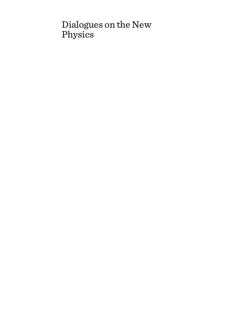# Dialogues on the New Physics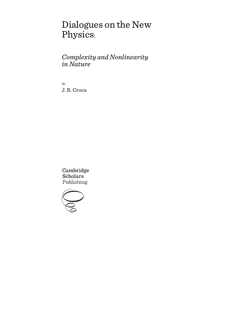# Dialogues on the New Physics:

*Complexity and Nonlinearity in Nature*

By J. R. Croca

Cambridge **Scholars** Publishing

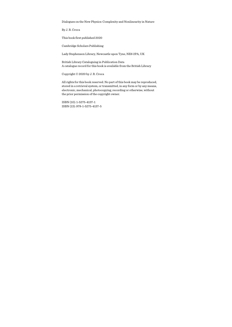Dialogues on the New Physics: Complexity and Nonlinearity in Nature

By J. R. Croca

This book first published 2020

Cambridge Scholars Publishing

Lady Stephenson Library, Newcastle upon Tyne, NE6 2PA, UK

British Library Cataloguing in Publication Data A catalogue record for this book is available from the British Library

Copyright © 2020 by J. R. Croca

All rights for this book reserved. No part of this book may be reproduced, stored in a retrieval system, or transmitted, in any form or by any means, electronic, mechanical, photocopying, recording or otherwise, without the prior permission of the copyright owner.

ISBN (10): 1-5275-4137-1 ISBN (13): 978-1-5275-4137-5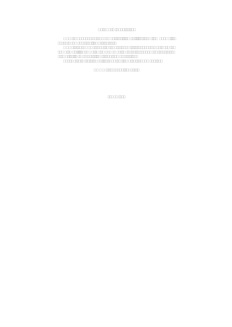This work is dedicated:

– To the young, generous and enterprising spirits, freed from dogmatic, obscure and conservative prejudices.

– To all those who recognize the profound interdependence between the complex entities in which the human being is included, and for that reason give priority to cooperation rather than aggression.

These are, in fact, the builders of the true progress of mankind.

To my granddaughter Teresa

J. R. Croca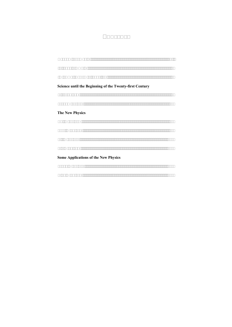# **CONTENTS**

| Science until the Beginning of the Twenty-first Century |  |
|---------------------------------------------------------|--|
|                                                         |  |
|                                                         |  |
| <b>The New Physics</b>                                  |  |
|                                                         |  |
|                                                         |  |
|                                                         |  |
|                                                         |  |
| <b>Some Applications of the New Physics</b>             |  |
|                                                         |  |
|                                                         |  |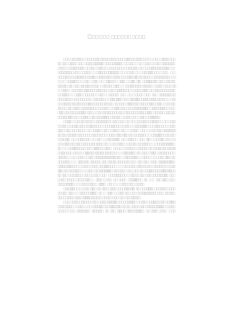#### ACKNOWLEDGEMENTS

The development of the ideas that gave rise to this book was mainly due to the close and enthusiastic cooperation of the members of the research group designated as the Lisbon School of Eurhythmic Physics, inspired by Professor J. Andrade e Silva, disciple of Louis de Broglie, of whom we consider ourselves followers. I take this opportunity to thank Professors Rui N. Moreira, Amaro Rica da Silva, Mário Gatta (in particular for kindly reviewing the text), Pedro Alves, Gildo Magalhães, Ricardo Salomão, Dr. Maria Manuela Silva, Postdocs Gil Costa, João Cordovil, A. Cardoso, Paulo Castro, Muriel Padua, Drs. Mazzola and P. Neves and the researcher Jonathan Tannenbaum, for the motivating and fruitful discussions, and most of all for their constant encouragement and friendly support. I also want to thank the late Professor Eduardo Chitas for our interesting discussions and also for suggesting the word 'acron' as the proper designation for the highly energetic and extremely localised region of the complex particle.

I also want to thank Professor Olga Pombo on behalf of all the members of the Centre for Philosophy of Science of the University of Lisbon, where I've always found an extremely welcoming medium and a genuine interest in the search for knowledge. I would also like to express my gratitude to the Faculty of Sciences of the University of Lisbon and its Department of Physics for the support given to me. I also want to express my appreciation to my colleagues and friends from "The Reason" academic chair for their help, and above all, for their profound motivation in promoting reason. To all the members of the Interdisciplinary Discussion Group I would like to express my sincere thanks for their support and for the very interesting discussions we have been sharing. To my son, J. Alexandre Croca, I would like to express my deep appreciation for his many and important contributions to the development of the new physics, as well as for his generosity and permanent support. A last word of deep gratitude to my family, and especially my daughter Miriam and my grandson Jose.

Finally, I would like to take this opportunity to publicly express once again all my recognition to Maria Odete for her ever-present and loving support in this difficult saga of the demand for truth.

The author thanks the enthusiastic cooperation of the Portuguese editor Francisco Abreu who greatly contributed to improve the presentation of the book. The research leading to the final elaboration of this book was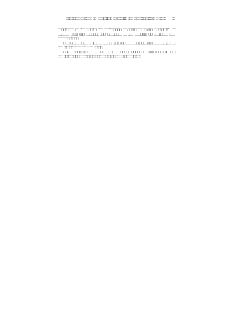developed at the Centre for Philosophy of Sciences of the University of Lisbon with the support and approval of the Faculty of Sciences and Technology.

The author also wants to thank the kind and enthusiastic cooperation of the translator Jose Almeida.

I also would like to thank Gill Pavey of Wordhouse Writing Services for the efficient English proofreading of the manuscript.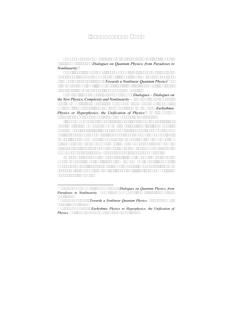#### INTRODUCTORY NOTE

The book that is now presented to the reader is the continuation of the previous Dialogues – *Dialogues on Quantum Physics, from Paradoxes to Nonlinearity*. 1

The first version of the Dialogues was mainly intended to present to the general public, not only a more simplified version from the formal point of view of the ideas contained in *Towards a Nonlinear Quantum Physics2* but also to develop with a little more detail certain historical and epistemological aspects related to the foundations of quantum physics.

Like the first volume, this second volume of *Dialogues – Dialogues on the New Physics, Complexity and Nonlinearity –* aims to bring to the general public in a relatively accessible way, even those people without great mathematical preparation, the ideas contained in the book *Eurhythmic Physics or Hyperphysics, the Unification of Physics*. 3 In this work, a proposal for a global and unifying view of physics is presented.

It's a new way of looking at nature, the physis, based on the organizational genetic principle of eurhythmy. In this perspective, traditional physics, quantum physics, relativistic physics and classical physics can be seen as a particular cases of the new relational physics of the complex and nonlinear. In addition, the new physics or eurhythmic physics also aims to build a bridge between those commonly called hard or exact sciences and the sciences that treat highly complex systems. From these, we can refer to the human and social sciences *–* psychology, sociology, economics, etc.

In these sciences, which deal essentially with complex systems, the whole is generally quite different from the sum of its constituent parts. Under these conditions, these systems are generally not susceptible to an adequate treatment within the traditional simplistic, linear and Cartesian conceptual framework.

<sup>1</sup> Croca, J. R. and Moreira, R. N. (2014). *Dialogues on Quantum Physics, from Paradoxes to Nonlinearity.* Cambridge, UK: Cambridge International Science Publishing.

<sup>2</sup> Croca, J. R. (2002). *Towards a Nonlinear Quantum Physics.* Singapore: World Scientific Publishing.

<sup>3</sup> Croca, J. R. (2015). *Eurhythmic Physics or Hyperphysics: the Unification of Physics.* Berlin, Germany: Lambert Academic Publishing.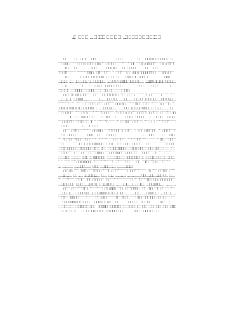### IN THE GUISE OF AN INTRODUCTION

The new version of the Dialogues, which I now have the opportunity and the honour to present to the reader enlightened and motivated by matters of science and knowledge in general, corresponds to the continuation of the fruitful and interesting discussion meetings on the foundations of the new physics which I've carefully recorded over time. Once again, I begin by asking the reader's indulgence for my rather crude and little refined prose. As I mentioned in the first version of the Dialogues, I don't have a great literary background because I'm an engineer.

Due to the needs of my profession I've been more in contact with the practical applications of science. However, not for a moment have I lost interest in the meaning and origin of the practical rules that we use in solving the real problems that arise in our day-to-day lives. Moreover, I'm convinced that this natural tendency to look for the origin or the meaning of things and not to content myself with the uncritical use of a set of recipes, of practical rules, was a precise and important reason for my professional and economic successes.

The first version of the Dialogues, which I was pleased to present, corresponds to the discussions around the foundations of quantum physics, in its traditional indeterministic or bohrean interpretation and in its causal and nonlinear formulation. Now, this new version of the Dialogues corresponds, first of all, to the discussions of the School of Lisbon on the extension and generalization of nonlinear quantum physics to the known physics giving rise to the new physics, or eurhythmic physics. This is, in my humble opinion, a revolutionary proposal – a new scientific paradigm – in other words, a new way of looking at nature.

As in the first version, these Dialogues correspond to the systematic narration of the interesting and stimulating journeys of discussion we had in various places and that I was careful enough to register, and now, once again, I am transferring to writing so the reader can also benefit from them.

The characters involved in this new narrative are the same, as the discussion group is essentially the same. However, I have to say that I feel extremely happy for having the opportunity to add the presence of a woman to our initial group. Contrary to a general believe, especially in certain masculine sectors, I am of the opinion that women always had and still continue to play an extremely important role in the progress of humanity.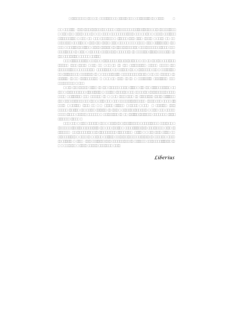To confirm this just think, for example, about agriculture. This invention, which is mainly due to women, was undoubtedly one of the most important discoveries made by humankind. Without this step there would be no progress at all. To this feminine element of our group I've attributed the name of Iris for it's mainly related to light, that element that has played and continues to play a fundamental role not only in physics itself but also in the evolution of humanity.

The first version of the Dialogues didn't include women for the obvious reason that there were no women in the discussion group about the foundations of quantum physics. Now, since the Dialogues are a narrative as faithful as possible to what actually happened, there was no reason to falsify it by introducing a woman into it in a perfectly arbitrary and unfounded way.

Only for information to the reader unfamiliar with the first version of the Dialogues, I will briefly mention that the names of the interveners have been Latinised and chosen in a way that seek to translate their attitude towards science and the world as much as possible. From these names I will only mention that of my great friend Argus, whom I ascribe this denomination for being related to this mythological ship which demanded knowledge across unknown universes in an initial instance and, at a later stage, wisdom.

The name I've chosen for myself is Liberius, as I consider myself as a lover of liberty, especially the one that's most difficult to achieve, which is freedom of thought. This is, because right from birth we are formatted by all possible means in a given pattern of thinking. Therefore to depart – even if briefly – from this pattern, this conceptual imprisonment, constitutes in my opinion a truly heroic achievement.

*Liberius*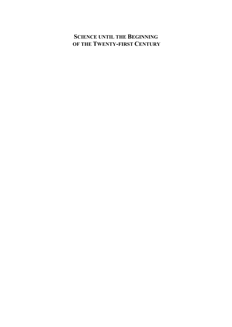## **SCIENCE UNTIL THE BEGINNING OF THE TWENTY-FIRST CENTURY**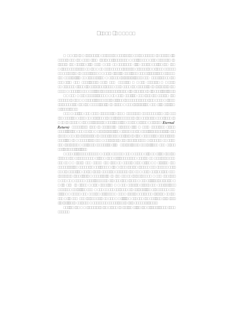### FIRST JOURNEY

We were in mid-September, at the beginning of the academic year, with people coming back from their holidays, some better or worse prepared to tackle the systematic hard work of everyday life again. Following the wishes expressed by the members of our research group, the Lisbon School of Eurhythmic Physics, we would finally continue our discussions around the possibility of elaborating a global interrelational new physics, of the complex and nonlinear. This new physics – more general – where emergency finds its natural place, would have the capacity to integrate the known physics as a particular case, at least with regards to its applications.

As you must understand, I was very excited not just for having the chance to see my dear friends again after a longer absence than I had wished for, but also for the opportunity to resume our interesting and stimulating discussions.

The meeting had been scheduled for Wednesday at about 8.00 p.m. at the Fábrica Braço de Prata. This building, next to the port area of Lisbon is – so to speak – the heiress, the continuation of the Eterno Retorno (*Eternal Return)* bookstore that is currently closed. It's a very spacious place constituting one of the most interesting places of the capital, especially for those who are interested in avant-garde culture in its most varied aspects. In addition to a bookstore and a bar, there are several rooms that can be used for lectures, meetings, concerts, film projections, exhibitions and other cultural activities.

Once arrived, I sat down at the bar and had a beer while I waited for the rest of the group. Soon after Argus arrived, accompanied by Fabrus. They sat at my table and asked for tea, as usual. Promptly, we started the conversation about the holidays with Argus saying that he had spent a part of his vacation at the thermal baths because it was a very quiet place and therefore lent itself wonderfully to the act of thinking. So much so, that when he went on vacation, he'd always take those more difficult problems with him to study which required a much greater effort and dedication. Fabrus was telling how much he had enjoyed himself sailing his yacht when Iris, Amadeus and Lucius arrived. What a feast! Everyone talking at the same time. When things calmed down a little more and the holiday talk lost its initial impetus, we began, as expected, to talk about science.

Following my request to the group to systematize the discussion, Argus began: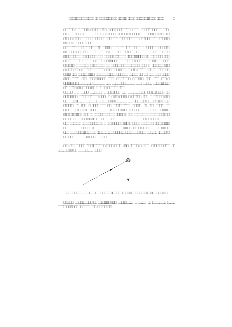Before we begin presenting a proposal for a new physics, for a new way of looking at nature, the physis, it might be convenient to say a few words about what has been, in essence, our science, that is, the traditional science.

Traditional science, also called modern science by many, can be said to have had its beginnings in the seventeenth century, mainly with that great man by the name of Galileo. Naturally, as we all know too well, there was a whole plethora of precursors, of which I shall merely mention Nicholas of Cusa, Copernicus and Maestlin, the mentor of Kepler. For this great achievement, Galileo had to proceed with the unification of physics. Thus, he assumed on the one hand that both the supralunar and sublunar worlds had the same ontological nature and, on the other hand, he had yet to drastically simplify the problems to be dealt with.

Since we have already mentioned its ontological unification in previous discussions, now I will only mention the method, the simplification process he used in solving the problems, namely with regard to the movement of projectiles which is the basis of mechanics. It's worth noting in passing that at the time of Galileo the artillery was in full development. On the other hand, it could be seen that Aristotle's description of the movement of bodies was completely inadequate. As we know, the movement of a projectile fired by a cannon is not composed of linear segments, one inclined and one vertical, as Aristotelian physics intended and as this scheme seeks to indicate (Figure 1-1).

On the paper tablecloth, Argus drew the scheme I am reproducing as faithfully as I possibly can:



Figure 1-1: Movement of a projectile according to Aristotelian physics.

Argus continued: "Actually, the projectile motion is approximately parabolic, as anyone can observe."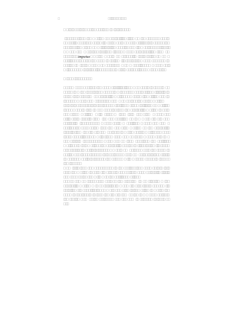At this point, Lucius decided to intervene.

 Indeed, since the motion of projectiles fired by the cannons could be easily observed at the time, it would be very difficult to accept the explanation given by Aristotelian physics and its medieval variants. No one saw a violent inclined linear movement, resulting from an eventual *impetus*, which would be gradually lost, followed by a vertical drop, for the body to follow its 'natural' movement back to Earth. In fact, what was observed was a continuous movement, without any interruption, approximately parabolic, as Argus said.

Argus responded.

Thank you, Lucius, for your clarification! However, it should be borne in mind that it took about two thousand years after Aristotle to solve this problem of projectile motion. To solve it, Galileo had to invent a whole new process, a new way of looking at the world.

It is this process, this radical and fruitful method initiated by Galileo that I want to talk to you about. Since the projectile motion is very complex, Galileo will assume that this complex movement ultimately results from the composition of two more simple and perfectly independent movements: a vertical movement and a horizontal one, being that the complex motion of the projectile results from the simple sum of these two elementary motions. Under these conditions, he will study each one of these movements in a completely independent way. Let us then consider the vertical motion: In this motion, the projectile begins to rise, losing its speed progressively until it reaches a maximum height where the speed is null. Once it has reached this point of maximum height, it then starts to descend until it reaches the ground with a speed equal to that of the launch.

Now let's look at what happens to the horizontal movement: In this case the motion is very simple, always uniform, and naturally starts and ends at the same time as the vertical motion.

So, as can be seen, each part of the problem to be studied – the projectile motion – is of relatively much simpler treatment and its solution almost direct. The more complex total motion to which the body is subject to is then the simple sum of the two movements. In the sketch I am doing here, you can see how to proceed (Figure 1- 2).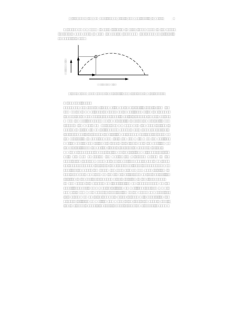Argus, who we know is very talented in drawing, moved to the paper tablecloth once again to draw the sketch that I now reproduce as faithfully as I possibly can:



Figure 1-2: Movement of the projectile as a result of two influences.

#### Argus continued:

So, as you can see, the final motion of the projectile results from the sum of the two motions: the speed of the vertical motion is higher at the beginning and decreases gradually until it reaches the zero value. When the vertical speed of the projectile is zero, the projectile has reached the maximum height, as we know. In the next instant it begins to fall, with an initial speed equal to zero that progressively increases until it reaches the starting value. The horizontal speed of the projectile is constant and lasts the same time as the vertical motion of rise and fall. Note that in this figure only the position of the projectile, on the dotted line, is represented at every instant.

On the other hand, the observation of the relative motion, associated with his way of seeing the world, led Giordano Bruno to the conclusion that the movements of the various bodies could be taken as independent and therefore the process of linear independence was applicable. Thus, the speed for example, of one boat relative to another would be given by the simple difference of their velocities relative to the port, or, for example, in relation to the river banks. In any case, this process of linearization or independence of the constituent parts of a whole, initiated by Galileo, received a more complete and more general theorization at the hands of Descartes, this great man of thinking. This great thinker will generalize the process initiated by Galileo and make it the lever, the key, in short, the 'method' to unveil the secrets of nature. This method, also known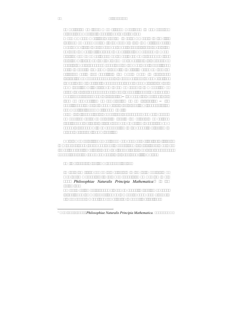as Cartesian or linear – as already mentioned in our previous discussions – basically consists of the following:

When we have a difficult problem to solve we begin in the first instance by decomposing it, for example into two distinct parts. Next, we will try to solve each of the parts separately. If the solution of these two parts still proves to be difficult, we proceed to a new division and so on until each of the parts can be solved. The final solution will then be the simple sum of the parts. In this process of describing natural phenomena, studying the whole or its constituent parts is exactly the same thing. It's implicitly assumed that the different parts that constitute the whole when in reciprocal interaction do not change. That is to say, whatever the combination, the parts remain perfectly unchanged, thus always maintaining their own identity. Ultimately, as it can be seen, it is a question of assuming total independence between the constituent elements of the whole. Therefore, when in interaction – if we can truly designate this type of composition or combination as an interaction − the constituent elements always maintain their identity without suffering any modification, no matter how small.

From this linear principle of perfect independence and permanence of physical systems, naturally results the principle of action– reaction. This principle states that when an action is exercised on a body, it responds with an equal action in the opposite direction in order to preserve its own identity.

At this moment, Iris, who until now had been very attentively listening to Argus, said, "Argus, I don't quite understand this relationship between the action–reaction principle and the linear principle of total independence of physical systems. Can you explain this subject a little more?"

"With pleasure!" replied Argus, continuing:

In fact, the statement of this principle is the third postulate of Newtonian mechanics. Its form, as enunciated by Newton in his book *Philosophiae Naturalis Principia Mathematica*,<sup>4</sup> is the following:

To every action corresponds always an opposite reaction of equal intensity: or the mutual actions of two bodies upon each other are always equal in magnitude and directed in opposite directions.

<sup>4</sup> Newton, I. (1687). *Philosophiae Naturalis Principia Mathematica.* London, UK.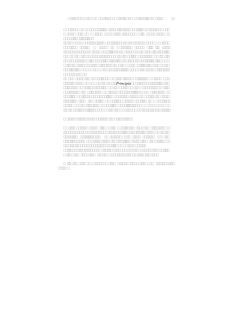Another way of enunciating this principle consists of saying: when a force acts on a given body, this responds with equal force of opposite direction.

In the end, what this statement intends to say is that a body  $-$  a given physical system – seeks to maintain, above all, its total independence. In these conditions, in order not to lose its identity and to remain as such, it responds to the action exercised on it with an equal force with opposite direction in order to neutralize it. As we will see later on, this principle is only a very particular case of the application of a much more general statement which is the principle of eurhythmy.

In any case, the importance of this linear Cartesian method was clearly assumed by Newton in his *Principia*. Besides postulating the principle of action–reaction as the basis of his mechanics, he also postulates the principle of linear superposition. The principle of addition or linear superposition of forces serves to obtain the force resulting from the action of various forces applied to a physical system. This principle of addition constitutes, as we know, one of the important pillars upon which the whole of Newton's theory rests.

At this point, Fabrus entered the discussion.

At this point, I think it's worth mentioning that the principle of independence of forces, and their addition, is clearly assumed in the so-called parallelogram of forces. This gives nothing but the practical form of determining the resulting force from the action of several independent forces applied on a given point.

Let's consider, for example, the case of a boat in a canal being pulled with a tow rope from the two banks, as seen in this drawing.

With the help of Argus, he drew Figure 1-3, which I am reproducing below.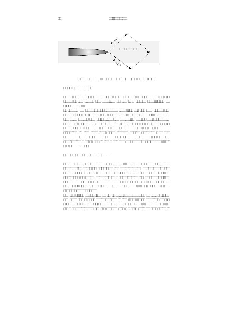

Figure 1-3: Parallelogram of the composition of forces.

Fabrus continued:

The resulting force, that is, the total force pulling the boat along the canal is the linear composition of the two forces considered as independent.

It should be considered, though, that this simple and extremely elegant formalization that students of classical mechanics learn to combine forces and velocities, the so-called vector calculus, only appeared much later in the late nineteenth century, mainly due to the work of Gibbs and Heaviside. I would also like to draw your attention to the fact that, even though vector calculus was not available, the study of mechanics didn't stop its development and application mainly due to the work of Lagrange, the great physicistmathematician.

After a pause, Argus resumed.

It seems to me that it's still convenient to add to this beautiful explanation given by Fabrus on the parallelogram of forces, the socalled conservation laws of physics, namely the law of conservation of linear momentum proposed by Descartes, the law of conservation of kinetic and potential energy developed by Leibniz and the other conservation laws which have much to do with this principle of linear independence.

On the other hand, also as an implicit consequence of this method we have the fundamental notion, in the traditional physics, of the infinite referential both in space and time. Likewise, the so-called laws of nature, namely the second 'law' which tells us that force is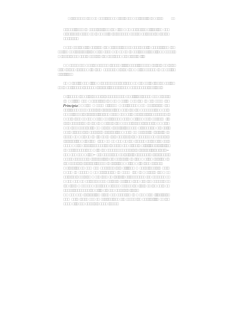proportional to acceleration, the 'law' of universal attraction and others, are assumed to be valid forever and ever, whatever the region of space.

Once again, Iris entered the discussion. "I don't quite understand the notion of 'referential' which seems so be so important after all! I wonder, Argus, if you could explain the subject more clearly ..."

Amadeus and Lucius acknowledged Iris's question, and I, truth be told, also joined forces with them because I think the matter needed to be better clarified.

"My fault!" admitted Argus, "I apologize! You are quite right, a notion as important as that of a referential deserves a deeper explanation."

Although the origins of this concept can be attributed, among others, to Galileo and Descartes, it was mostly Newton in his book the *Principia*, which I have already mentioned, who postulates the existence of an absolute referential where the laws of physics would be valid. This referential then assumes a primordial status because it would then be some kind of 'stage' where matter would perform its role according to the immutable laws of nature. Eternal laws which Newton, eventually by divine inspiration, had discovered himself. This stage, this absolute referential would be naturally infinite in space as well as in time. In this context, the concept of absolute referential will from then on be one of the fundamental elements upon which classical physics is based and also, implicitly, relativity. In perfect analogy with the concept of absolute referential, others − as many as we like − are conceived as infinite secondary references. These secondary referentials are naturally in true motion relative to the absolute referential and in relative motion with themselves.

Naturally, as you can observe, this attitude – unfortunately very much in vogue – of pretending to know the immutable laws of nature, is nothing more than an infinite arrogance, a sad apanage of many human beings. They naively believe they are the keepers of the truth – not of a sketch, a clue, a part of the truth as it would be expected, but of the ultimate and absolute truth!

By now, an interesting story has occurred to me, which illustrates how vain these human pretensions are about the possibility of the dogmatic and absolute knowledge.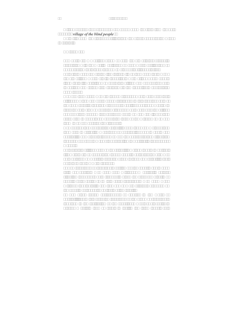After a pause, Argus asked, "do any of you know the story from the Sufi about the *village of the blind people*?"

Only Iris knew the story, but still joined the others encouraging Argus to retell it.

He resumed:

The Sufis are a mystical group of very remote origins, presently associated with the Muslim culture, who have a very particular way of expressing their ideas through small but significant stories.

This story goes something like this: In times long gone there was a remote village where all its inhabitants were blind. These people lived their life quietly. However, this village had yet another very important and rather rare feature: all the inhabitants appreciated knowledge.

One day they became aware that an elephant would pass near their village. As they had heard vague references to this fabulous animal it was no surprise that they all got very excited! Everyone wanted to 'see' the animal! However, the elephant would pass near the village but not close enough that everyone could go and see it. So, they assembled in council and appointed three of the wisest men among them to go and observe the elephant.

However, as they appreciated scientific knowledge and method, they took care to establish a protocol of observation. So, to avoid any possibility of mutual influence among the observers, they stipulated that each one should make his observation in a perfectly independent manner.

This salutary attitude used by the scientific method is very important. It's mainly aimed at avoiding that an experimental result which was only obtained by a certain research group is taken as a scientific fact. This is so for two main reasons:

1) The researcher or researchers carried out the experiment in good faith but possibly may have been mistaken. A perfectly natural situation that occurs very frequently given the great complexity of experimental systems. In this case, researchers may have made mistakes involuntarily and take one or more artefacts produced by the experimental device as trustworthy results.

2) The other reason corresponds, of course, to the worst of possibilities. In this case, the researcher or the group of researchers involved in the realisation of the experience want, at all costs, to present a certain type of result to justify the large investments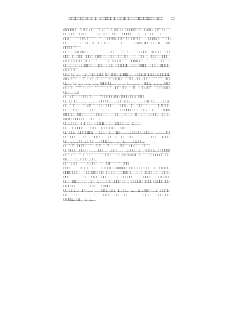involved in the experiment. In these conditions, as the history of science very well illustrates, they adapt or sometimes go even further by eventually forging the experimental results they want to achieve. From these realities, results this salutary criterion of scientific validation:

For a scientific experiment to be considered trustworthy it must have been carried out in different laboratories and also by independent researchers. It's only when the results obtained by the various sources coincide that the experimental results can then be considered credible.

And so it was! According to the established experimental protocol, the three wise men set out for their mission and each one did the study of the animal in the best way he could. On their return, the whole village got together to hear the wise men talk about the elephant.

The first one, very excited, took the floor and said:

'You cannot imagine how wonderful this animal called elephant is. To tell you the truth, I don't even have words capable of describing such an animal. Just for you to have a rough idea, think for example that the elephant is some kind of snake – very flexible, or even a very thick rope from a ship'.

This wise man had palpated the elephant's trunk.

The second wise man stood up and said aloud:

'You're completely wrong! The elephant is not a snake! Not even a rope! What he most resembles will be, at best, a leaf of cabbage, long and thin.' This man had palpated the elephant's ear.

Totally exalted, the third wise man stands up and says:

'What snake! What cabbage leaf! The elephant is a dignified, noble animal with a rugged appearance in all similar to the strong, sturdy trunk of an oak tree.'

This man had touched the elephant's leg.

All the wise men were right! Partially, we must say, because they only knew a portion of the elephant. Yet they were all deeply deluded when they confused their share of knowledge with reality. The elephant was, without a shadow of a doubt, a much richer and more complex entity than they thought.

Therefore, as I told you, this story seeks to illustrate in a very human way our limitations in the face of such an incommensurable, vast and multifaceted reality.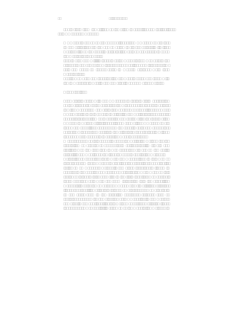"This story from the village of the blind is beautiful and instructive", said Amadeus. He added:

We must always be aware of our blindness. We must be aware that in any historical era the human being is always naturally limited, whether it's by the experimental instruments he has access to or by the mental tools he uses.

Just to give you a little idea, imagine what biology was before the discovery and use of the microscope. The notions of microorganism, cell and gene, so fundamental in modern biology, were then meaningless.

That's why I say and repeat: blind are we, always, when faced with the immeasurable wealth and complexity of our Mother Nature!

Argus replied:

I completely agree with you Amadeus! In fact, to claim possession of the eternal laws, the universal laws that govern, that rule nature, is a true madness. A complete lack of sense of proportions. The best we can aspire to is to be able to establish some principles, as general as possible, that allow us to describe and systematize the information we have in a given historical period. Meanwhile, we must be aware that when conditions change, and the experimental and conceptual universe widens, then possibly the principles set previously will no longer be very adequate to describe what is observed.

A consequence of this euphoria about the Cartesian method for the resolution of problems, undoubtedly extraordinarily simple and fruitful, was the fact that it was accepted, almost by the entire scientific community, as the true, the one, in short, 'the method'.

Naturally, as expected, there were some exceptions to this way of thinking. From these we should highlight the great figure of Leibnitz, followed by Huygens, Bernoulli and other researchers linked in general to the physics of waves. The painstaking work made by this sector of thinkers later gave rise to the field theories. However, all these developments were somehow integrated into the prevailing mechanistic paradigm, where, as we know, the simplistic, Cartesian, linear superposition principle reigned omnipresent and omnipotent. In any case, even in the so-called non-exact sciences such as sociology, economics and others, where we constantly come across complexity and nonlinearity, this method of perfect Cartesian linear

independence was explicitly assumed as the model, 'the method' to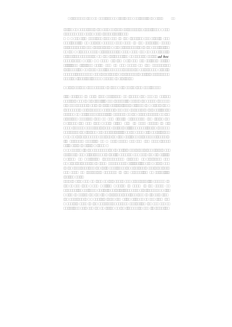follow. Of course, in the case of these sciences, the result, as we can see, has been at the very least disastrous.

We must also consider that due to the inherent complexity and nonlinearity of natural phenomena, even in the so-called exact sciences, here and there, there were discrepancies in the application of the method. These discrepancies have been somewhat cleverly disguised, concealed by the introduction of supplementary *ad hoc* hypotheses which we know all too well and are suitably called attrition, friction, noise and so on. Thus, by the convenient introduction of these additional hypotheses, the natural complexity of physical phenomena is subject to a forced, or in certain cases, even abusive linearization, I must say in all truth.

At this point Argus paused to take a sip of tea then continued:

It's curious to note that yesterday as today, the human being, possibly due to his fragility and insecurity before the becoming, has always sought to hold to false certainties, to alleged immutable laws that govern nature, anywhere, always and forever. In this particular case, man believed, especially because of the great success of the classical physics, that he had finally discovered the truth, the method, the key that would allow him to have access to all knowledge. Of course, this comfortable attitude of believing that one possesses the truth, more characteristic of the dogmatic or religious way of thinking, goes against the true spirit of science. Science, in its essence, consists of a permanent demand for knowledge, ultimately to attain wisdom.

However, with the advent of the twentieth century, things start to get seriously complicated. This idyllic panorama, where the simplistic method of Cartesian independence reigned omnipresent and omnipotent, begins to show gaps. These difficulties are mainly due to the fact that since the third quarter of the nineteenth century, there has been an incredible advance in the production of scientific instruments.

Just to give you an idea of this enormous progress, it's enough to remember that when Galileo wanted to know if the speed of propagation of light was finite or infinite, he used his finger as a wrist watch to determine the time interval that light took in its path from the observer to a mountain just a few kilometres away and from the mountain back to the observer. Thus, by evaluating the number of pulsations between the emission of the light pulse and its reception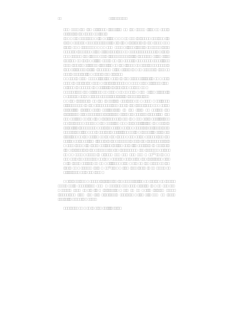and knowing the distance travelled on the round trip, he could calculate the speed of light.

If we are generous with Galileo we may admit that he could, with this measurement process, estimate time intervals in the range of a tenth of a second. As we now know, light travels at about three hundred thousand kilometres (300,000 km) per second. So, in a tenth of a second the light would travel about thirty thousand kilometres (30,000 km). If Galileo could do the experiment under conditions such that the distance travelled by the light was greater or equal to that distance, thirty thousand kilometres, it was probable that he could eventually measure something.

I want to draw your attention here to the great difficulty he would have in achieving such a feat, since, as we know, the distance from Lisbon to Sydney in Australia is less than 19,000 km.

Thus, since the distance he used was of only a few kilometres, its measurements were, as expected, totally inconclusive.

At the threshold of the twentieth century, as I have mentioned already, due to the great development in the techniques of making scientific instruments, particularly in the field of optics, the interferometer appeared. Interferometers are devices that allow the comparison of the time interval between two complete oscillations of incident waves. As the duration of a full oscillation is what, in scientific language, we call the period of the wave, this extraordinary apparatus allows us to evaluate variations of time that ultimately are fractions of the period of the luminous wave being used. Since the period of the yellow light is in the order of twenty femtoseconds, this means that with these optical instruments it's possible to evaluate time intervals in the order of the femtosecond. A femtosecond being, as we know, equal to  $1/1000$  000 000 000 000 =  $10^{-15}$ s. If we compare the accuracy of the measurements using the interferometer with those performed by Galileo, which were on the order of the tenth of a second  $(0.1 = 10^{-1} s)$ , we find that there is an abysmal difference between them.

At this point Amadeus interrupted the conversation by saying "Argus, I don't quite understand how a device, however precise it may be, can measure such small time intervals. More so as we're talking about technology from the late nineteenth century. After all, how do these fantastic gadgets work?"

Fabrus, who was in high spirits said: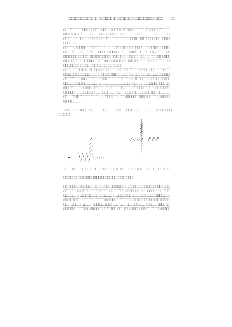Well, Argus, if you'll excuse me, I'd like to explain the operation of the interferometer, because, as you know, I had the opportunity to assemble and use these instruments at the optics classes I gave at the Faculty.

I think that the best thing to do will be to present an apparatus which was simultaneously proposed by two physicists and, as result, bears their names. It's the interferometer of Mach and Zehnder, being that the basic operation of all the interferometers of this type follows a process in every way similar to this.

This apparatus is composed of a stable light source and a set of mirrors supported on a base with a high degree of stability. If the stability of the optical platform, where the mirrors and other optical devices are supported is not good, nothing can be observed due to the tremor of the fringes that appear and disappear in a perfectly random manner. In the drawing I'm going to do, for the sake of simplification, only the mirrors and the light emitting source will be indicated.

 And so, aided by Argus, he began to draw the diagram I reproduce below:



Figure 1-4: Mach-Zehnder interferometer with approximately equal paths.

After drawing the figure, Fabrus continued:

As you can see, the light wave emitted by the source arrives at a halfsilvered mirror, represented as dotted lines. As we know, a halfsilvered mirror is only partially mirrored so that one part of the light is reflected and the other is transmitted. In this case, the reflection and transmission coefficients are the same. This means that in practice half the light is reflected and the other half is transmitted.